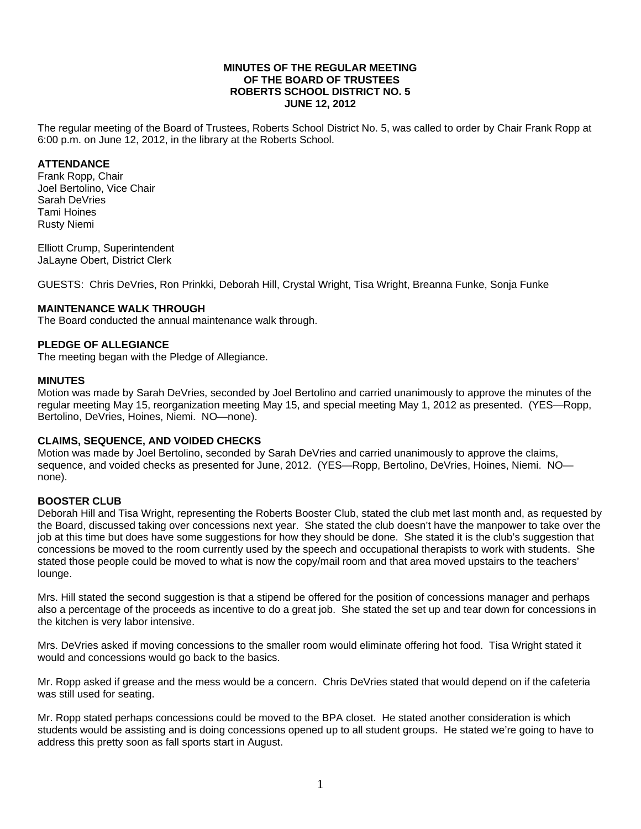### **MINUTES OF THE REGULAR MEETING OF THE BOARD OF TRUSTEES ROBERTS SCHOOL DISTRICT NO. 5 JUNE 12, 2012**

The regular meeting of the Board of Trustees, Roberts School District No. 5, was called to order by Chair Frank Ropp at 6:00 p.m. on June 12, 2012, in the library at the Roberts School.

## **ATTENDANCE**

Frank Ropp, Chair Joel Bertolino, Vice Chair Sarah DeVries Tami Hoines Rusty Niemi

Elliott Crump, Superintendent JaLayne Obert, District Clerk

GUESTS: Chris DeVries, Ron Prinkki, Deborah Hill, Crystal Wright, Tisa Wright, Breanna Funke, Sonja Funke

# **MAINTENANCE WALK THROUGH**

The Board conducted the annual maintenance walk through.

### **PLEDGE OF ALLEGIANCE**

The meeting began with the Pledge of Allegiance.

#### **MINUTES**

Motion was made by Sarah DeVries, seconded by Joel Bertolino and carried unanimously to approve the minutes of the regular meeting May 15, reorganization meeting May 15, and special meeting May 1, 2012 as presented. (YES—Ropp, Bertolino, DeVries, Hoines, Niemi. NO—none).

### **CLAIMS, SEQUENCE, AND VOIDED CHECKS**

Motion was made by Joel Bertolino, seconded by Sarah DeVries and carried unanimously to approve the claims, sequence, and voided checks as presented for June, 2012. (YES—Ropp, Bertolino, DeVries, Hoines, Niemi. NO none).

### **BOOSTER CLUB**

Deborah Hill and Tisa Wright, representing the Roberts Booster Club, stated the club met last month and, as requested by the Board, discussed taking over concessions next year. She stated the club doesn't have the manpower to take over the job at this time but does have some suggestions for how they should be done. She stated it is the club's suggestion that concessions be moved to the room currently used by the speech and occupational therapists to work with students. She stated those people could be moved to what is now the copy/mail room and that area moved upstairs to the teachers' lounge.

Mrs. Hill stated the second suggestion is that a stipend be offered for the position of concessions manager and perhaps also a percentage of the proceeds as incentive to do a great job. She stated the set up and tear down for concessions in the kitchen is very labor intensive.

Mrs. DeVries asked if moving concessions to the smaller room would eliminate offering hot food. Tisa Wright stated it would and concessions would go back to the basics.

Mr. Ropp asked if grease and the mess would be a concern. Chris DeVries stated that would depend on if the cafeteria was still used for seating.

Mr. Ropp stated perhaps concessions could be moved to the BPA closet. He stated another consideration is which students would be assisting and is doing concessions opened up to all student groups. He stated we're going to have to address this pretty soon as fall sports start in August.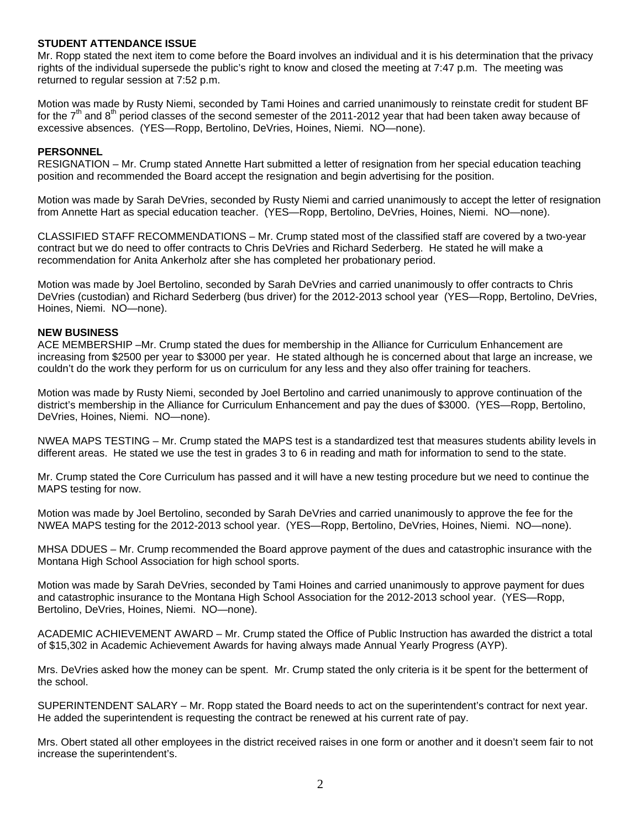### **STUDENT ATTENDANCE ISSUE**

Mr. Ropp stated the next item to come before the Board involves an individual and it is his determination that the privacy rights of the individual supersede the public's right to know and closed the meeting at 7:47 p.m. The meeting was returned to regular session at 7:52 p.m.

Motion was made by Rusty Niemi, seconded by Tami Hoines and carried unanimously to reinstate credit for student BF for the  $7<sup>th</sup>$  and  $8<sup>th</sup>$  period classes of the second semester of the 2011-2012 year that had been taken away because of excessive absences. (YES—Ropp, Bertolino, DeVries, Hoines, Niemi. NO—none).

### **PERSONNEL**

RESIGNATION – Mr. Crump stated Annette Hart submitted a letter of resignation from her special education teaching position and recommended the Board accept the resignation and begin advertising for the position.

Motion was made by Sarah DeVries, seconded by Rusty Niemi and carried unanimously to accept the letter of resignation from Annette Hart as special education teacher. (YES—Ropp, Bertolino, DeVries, Hoines, Niemi. NO—none).

CLASSIFIED STAFF RECOMMENDATIONS – Mr. Crump stated most of the classified staff are covered by a two-year contract but we do need to offer contracts to Chris DeVries and Richard Sederberg. He stated he will make a recommendation for Anita Ankerholz after she has completed her probationary period.

Motion was made by Joel Bertolino, seconded by Sarah DeVries and carried unanimously to offer contracts to Chris DeVries (custodian) and Richard Sederberg (bus driver) for the 2012-2013 school year (YES—Ropp, Bertolino, DeVries, Hoines, Niemi. NO—none).

#### **NEW BUSINESS**

ACE MEMBERSHIP –Mr. Crump stated the dues for membership in the Alliance for Curriculum Enhancement are increasing from \$2500 per year to \$3000 per year. He stated although he is concerned about that large an increase, we couldn't do the work they perform for us on curriculum for any less and they also offer training for teachers.

Motion was made by Rusty Niemi, seconded by Joel Bertolino and carried unanimously to approve continuation of the district's membership in the Alliance for Curriculum Enhancement and pay the dues of \$3000. (YES—Ropp, Bertolino, DeVries, Hoines, Niemi. NO—none).

NWEA MAPS TESTING – Mr. Crump stated the MAPS test is a standardized test that measures students ability levels in different areas. He stated we use the test in grades 3 to 6 in reading and math for information to send to the state.

Mr. Crump stated the Core Curriculum has passed and it will have a new testing procedure but we need to continue the MAPS testing for now.

Motion was made by Joel Bertolino, seconded by Sarah DeVries and carried unanimously to approve the fee for the NWEA MAPS testing for the 2012-2013 school year. (YES—Ropp, Bertolino, DeVries, Hoines, Niemi. NO—none).

MHSA DDUES – Mr. Crump recommended the Board approve payment of the dues and catastrophic insurance with the Montana High School Association for high school sports.

Motion was made by Sarah DeVries, seconded by Tami Hoines and carried unanimously to approve payment for dues and catastrophic insurance to the Montana High School Association for the 2012-2013 school year. (YES—Ropp, Bertolino, DeVries, Hoines, Niemi. NO—none).

ACADEMIC ACHIEVEMENT AWARD – Mr. Crump stated the Office of Public Instruction has awarded the district a total of \$15,302 in Academic Achievement Awards for having always made Annual Yearly Progress (AYP).

Mrs. DeVries asked how the money can be spent. Mr. Crump stated the only criteria is it be spent for the betterment of the school.

SUPERINTENDENT SALARY – Mr. Ropp stated the Board needs to act on the superintendent's contract for next year. He added the superintendent is requesting the contract be renewed at his current rate of pay.

Mrs. Obert stated all other employees in the district received raises in one form or another and it doesn't seem fair to not increase the superintendent's.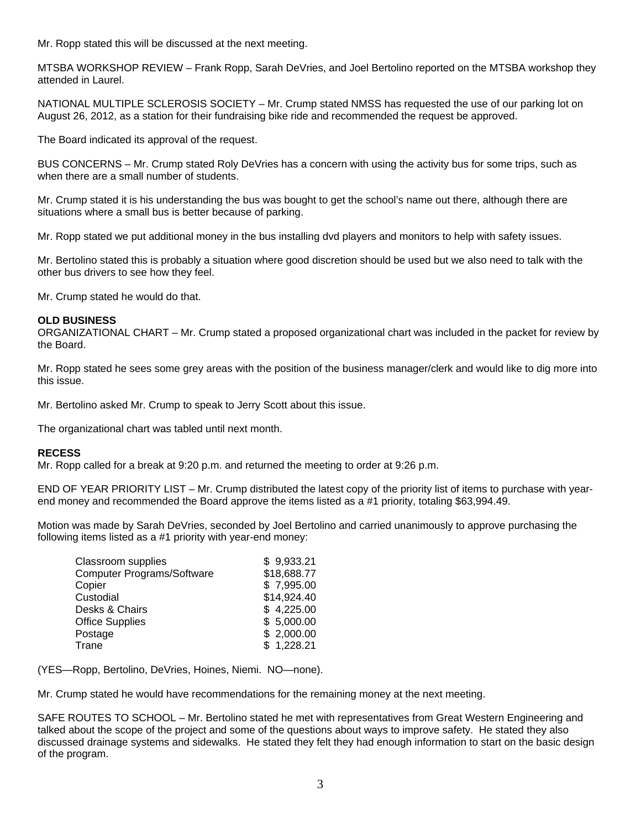Mr. Ropp stated this will be discussed at the next meeting.

MTSBA WORKSHOP REVIEW – Frank Ropp, Sarah DeVries, and Joel Bertolino reported on the MTSBA workshop they attended in Laurel.

NATIONAL MULTIPLE SCLEROSIS SOCIETY – Mr. Crump stated NMSS has requested the use of our parking lot on August 26, 2012, as a station for their fundraising bike ride and recommended the request be approved.

The Board indicated its approval of the request.

BUS CONCERNS – Mr. Crump stated Roly DeVries has a concern with using the activity bus for some trips, such as when there are a small number of students.

Mr. Crump stated it is his understanding the bus was bought to get the school's name out there, although there are situations where a small bus is better because of parking.

Mr. Ropp stated we put additional money in the bus installing dvd players and monitors to help with safety issues.

Mr. Bertolino stated this is probably a situation where good discretion should be used but we also need to talk with the other bus drivers to see how they feel.

Mr. Crump stated he would do that.

# **OLD BUSINESS**

ORGANIZATIONAL CHART – Mr. Crump stated a proposed organizational chart was included in the packet for review by the Board.

Mr. Ropp stated he sees some grey areas with the position of the business manager/clerk and would like to dig more into this issue.

Mr. Bertolino asked Mr. Crump to speak to Jerry Scott about this issue.

The organizational chart was tabled until next month.

### **RECESS**

Mr. Ropp called for a break at 9:20 p.m. and returned the meeting to order at 9:26 p.m.

END OF YEAR PRIORITY LIST – Mr. Crump distributed the latest copy of the priority list of items to purchase with yearend money and recommended the Board approve the items listed as a #1 priority, totaling \$63,994.49.

Motion was made by Sarah DeVries, seconded by Joel Bertolino and carried unanimously to approve purchasing the following items listed as a #1 priority with year-end money:

| Classroom supplies                | \$9,933.21  |
|-----------------------------------|-------------|
| <b>Computer Programs/Software</b> | \$18,688.77 |
| Copier                            | \$7,995.00  |
| Custodial                         | \$14,924.40 |
| Desks & Chairs                    | \$4,225.00  |
| <b>Office Supplies</b>            | \$5,000.00  |
| Postage                           | \$2,000.00  |
| Trane                             | \$1,228.21  |

(YES—Ropp, Bertolino, DeVries, Hoines, Niemi. NO—none).

Mr. Crump stated he would have recommendations for the remaining money at the next meeting.

SAFE ROUTES TO SCHOOL – Mr. Bertolino stated he met with representatives from Great Western Engineering and talked about the scope of the project and some of the questions about ways to improve safety. He stated they also discussed drainage systems and sidewalks. He stated they felt they had enough information to start on the basic design of the program.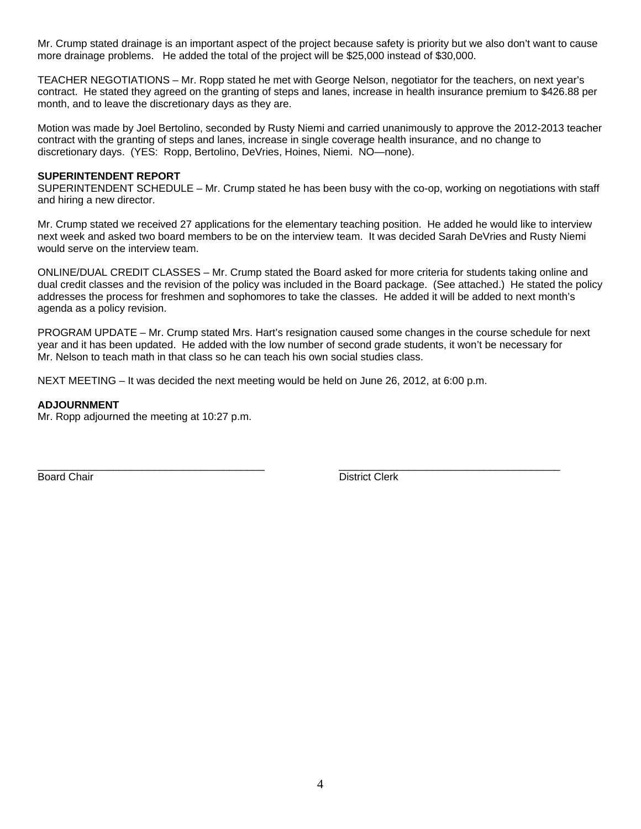Mr. Crump stated drainage is an important aspect of the project because safety is priority but we also don't want to cause more drainage problems. He added the total of the project will be \$25,000 instead of \$30,000.

TEACHER NEGOTIATIONS – Mr. Ropp stated he met with George Nelson, negotiator for the teachers, on next year's contract. He stated they agreed on the granting of steps and lanes, increase in health insurance premium to \$426.88 per month, and to leave the discretionary days as they are.

Motion was made by Joel Bertolino, seconded by Rusty Niemi and carried unanimously to approve the 2012-2013 teacher contract with the granting of steps and lanes, increase in single coverage health insurance, and no change to discretionary days. (YES: Ropp, Bertolino, DeVries, Hoines, Niemi. NO—none).

# **SUPERINTENDENT REPORT**

SUPERINTENDENT SCHEDULE – Mr. Crump stated he has been busy with the co-op, working on negotiations with staff and hiring a new director.

Mr. Crump stated we received 27 applications for the elementary teaching position. He added he would like to interview next week and asked two board members to be on the interview team. It was decided Sarah DeVries and Rusty Niemi would serve on the interview team.

ONLINE/DUAL CREDIT CLASSES – Mr. Crump stated the Board asked for more criteria for students taking online and dual credit classes and the revision of the policy was included in the Board package. (See attached.) He stated the policy addresses the process for freshmen and sophomores to take the classes. He added it will be added to next month's agenda as a policy revision.

PROGRAM UPDATE – Mr. Crump stated Mrs. Hart's resignation caused some changes in the course schedule for next year and it has been updated. He added with the low number of second grade students, it won't be necessary for Mr. Nelson to teach math in that class so he can teach his own social studies class.

NEXT MEETING – It was decided the next meeting would be held on June 26, 2012, at 6:00 p.m.

# **ADJOURNMENT**

Mr. Ropp adjourned the meeting at 10:27 p.m.

Board Chair **District Clerk Board Chair District Clerk** 

\_\_\_\_\_\_\_\_\_\_\_\_\_\_\_\_\_\_\_\_\_\_\_\_\_\_\_\_\_\_\_\_\_\_\_\_\_\_\_ \_\_\_\_\_\_\_\_\_\_\_\_\_\_\_\_\_\_\_\_\_\_\_\_\_\_\_\_\_\_\_\_\_\_\_\_\_\_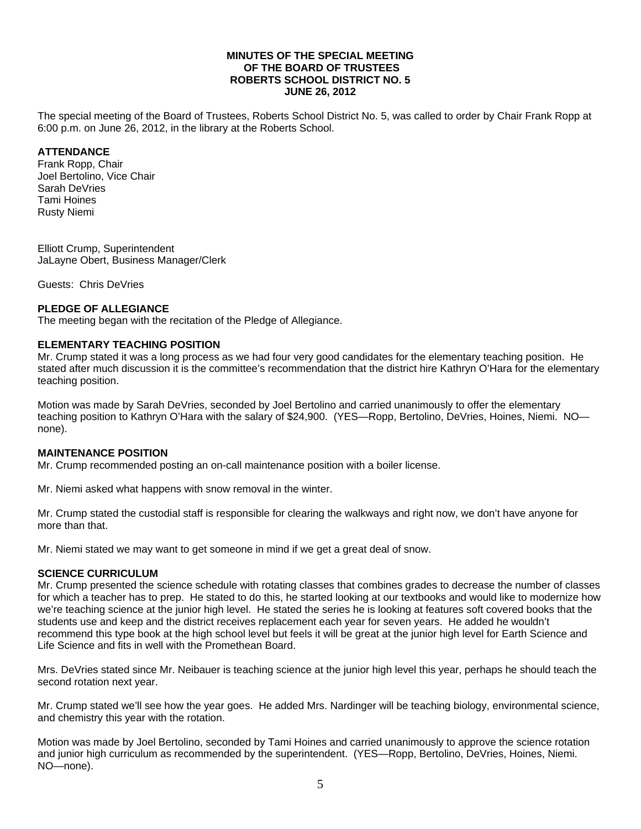### **MINUTES OF THE SPECIAL MEETING OF THE BOARD OF TRUSTEES ROBERTS SCHOOL DISTRICT NO. 5 JUNE 26, 2012**

The special meeting of the Board of Trustees, Roberts School District No. 5, was called to order by Chair Frank Ropp at 6:00 p.m. on June 26, 2012, in the library at the Roberts School.

## **ATTENDANCE**

Frank Ropp, Chair Joel Bertolino, Vice Chair Sarah DeVries Tami Hoines Rusty Niemi

Elliott Crump, Superintendent JaLayne Obert, Business Manager/Clerk

Guests: Chris DeVries

### **PLEDGE OF ALLEGIANCE**

The meeting began with the recitation of the Pledge of Allegiance.

### **ELEMENTARY TEACHING POSITION**

Mr. Crump stated it was a long process as we had four very good candidates for the elementary teaching position. He stated after much discussion it is the committee's recommendation that the district hire Kathryn O'Hara for the elementary teaching position.

Motion was made by Sarah DeVries, seconded by Joel Bertolino and carried unanimously to offer the elementary teaching position to Kathryn O'Hara with the salary of \$24,900. (YES—Ropp, Bertolino, DeVries, Hoines, Niemi. NO none).

## **MAINTENANCE POSITION**

Mr. Crump recommended posting an on-call maintenance position with a boiler license.

Mr. Niemi asked what happens with snow removal in the winter.

Mr. Crump stated the custodial staff is responsible for clearing the walkways and right now, we don't have anyone for more than that.

Mr. Niemi stated we may want to get someone in mind if we get a great deal of snow.

### **SCIENCE CURRICULUM**

Mr. Crump presented the science schedule with rotating classes that combines grades to decrease the number of classes for which a teacher has to prep. He stated to do this, he started looking at our textbooks and would like to modernize how we're teaching science at the junior high level. He stated the series he is looking at features soft covered books that the students use and keep and the district receives replacement each year for seven years. He added he wouldn't recommend this type book at the high school level but feels it will be great at the junior high level for Earth Science and Life Science and fits in well with the Promethean Board.

Mrs. DeVries stated since Mr. Neibauer is teaching science at the junior high level this year, perhaps he should teach the second rotation next year.

Mr. Crump stated we'll see how the year goes. He added Mrs. Nardinger will be teaching biology, environmental science, and chemistry this year with the rotation.

Motion was made by Joel Bertolino, seconded by Tami Hoines and carried unanimously to approve the science rotation and junior high curriculum as recommended by the superintendent. (YES—Ropp, Bertolino, DeVries, Hoines, Niemi. NO—none).